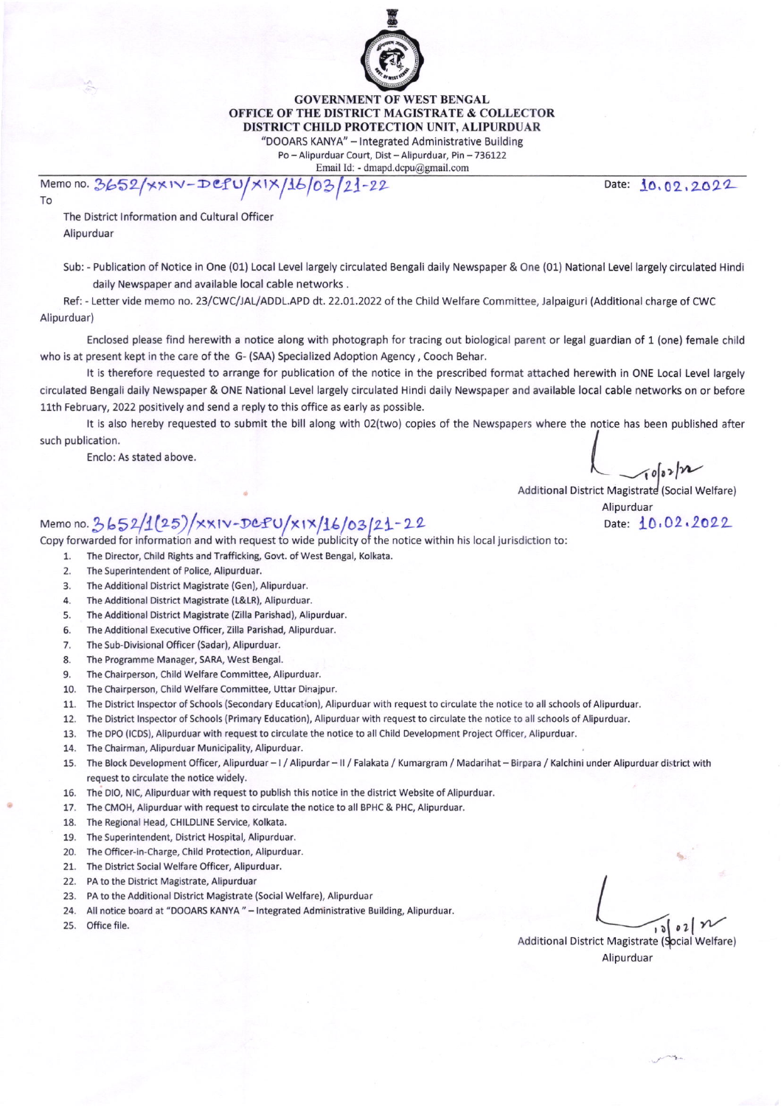

GOVERNMENT OF WEST BENGAL OFFICE OF THE DISTRICT MAGISTRATE & COLLECTOR DISTRICT CHILD PROTECTION UNIT, ALIPURDUAR

"DOOARS KANYA" - Integrated Administrative Building Po-Alipurduar Court, Dist - Alipurduar, Pin - 736122

Email ld: - dmapd.dcpu@gmail.com

Nemo no. 3652/xx1V-DCPU/x1X/16/03/21-22 Date: 10,02,2022

To

The District Information and Cultural Officer Alipurduar

Sub: - Publication of Notice in One (01) Local Level largely circulated Bengali daily Newspaper & One (01) National Level largely circulated Hindi daily Newspaper and available local cable networks ,

Ref: - Letter vide memo no. 23/CWC/ALIADDL.APD dt. 22.01.2022 of the Child Weltare Committee, Jalpaiguri (Additional charge of CWC Alipurduar)

Enclosed please find herewith a notice along with photograph for tracing out biological parent or legal guardian of 1 (one) female child who is at present kept in the care of the G- (SAA) Specialized Adoption Agency, Cooch Behar.

It is therefore requested to arrange for publication of the notice in the prescribed format attached herewith in ONE Local Level largely circulated Bengali daily Newspaper & oNE National Level largely circulated Hindi daily Newspaper and available local cable networks on or before 11th February, 2022 positively and send a reply to this office as early as possible.

It is also hereby requested to submit the bill along with 02(two) copies of the Newspapers where the notice has been published after  $\mathsf{sublication}.$ 

Enclo: As stated above.

 $10002/n$ 

Additional District Magistrate (Social Welfare)

Alipurduar

## Memo no. 3652/1(25)/ $x$ xiv-DCPU/xix/16/03/21-22 Date: 10,02.2022

Copy forwarded for information and with request to wide publicity of the notice within his local jurisdiction to:

- 1. The Director, Child Rights and Trafficking, Govt. of West Bengal, Kolkata.
- 2. The Superintendent of Police, Alipurduar.
- 3. The additional District Magistrate (Gen), Alipurduar.
- 4. The Additional District Magistrate (L&LR), Alipurduar.
- 5. The Additional District Magistrate (Zilla Parishad), Alipurduar.
- 6. The Additional Executive Officer, Zilla Parishad, Alipurduar.
- 7. The Sub-Divisional Officer (Sadar), Alipurduar.
- 8. The Programme Manager, SARA, West Bengal.
- 9. The Chairperson, Child Welfare Committee, Alipurduar,
- 10. The chairperson, Child welfare Committee, Uttar Dinajpur.
- 11. The District Inspector of Schools (Secondary Education), Alipurduar with request to circulate the notice to all schools of Alipurduar.
- 12. The District Inspector of Schools (Primary Education), Alipurduar with request to circulate the notice to all schools of Alipurduar.
- 13. The DPO (ICDS), Alipurduar with request to circulate the notice to all Child Development Project Officer, Alipurduar.
- 14, The Chairman, Alipurduar Municipality, Alipurduar.
- 15. The Block Development Officer, Alipurduar I / Alipurdar II / Falakata / Kumargram / Madarihat Birpara / Kalchini under Alipurduar district with request to circulate the notice widely.
- 16. The DIO, NIC, Alipurduar with request to publish this notice in the district Website of Alipurduar
- 17. The CMOH, Alipurduar with request to circulate the notice to all BPHC & PHC, Alipurduar
- 18. The Regional Head, CHlLDL|NEService, Kolkata.
- 19. TheSuperintendent, District Hospital.Alipurduar.
- 20. The Officer-in-Charge, Child Protection, Alipurduar.
- 21. The District Social Welfare Officer, Alipurduar.
- 22. PA to the District Magistrate, Alipurduar
- 23. PA to the Additional District Magistrate (Social Welfare), Alipurduar
- 24. All notice board at "DOOARS KANYA " Integrated Administrative Building, Alipurduar
- 25. Office file,

office file.  $\int_0^{\infty} 0^2 \int_0^{\infty}$ Additional District Magistrate (Social Welfare) Alipurduar